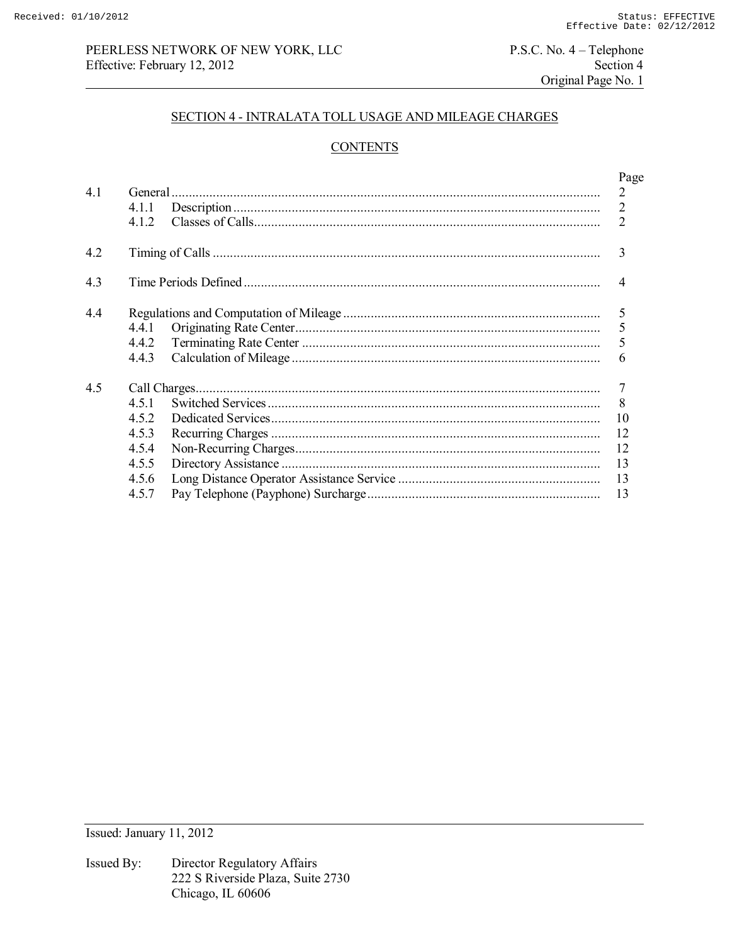## PEERLESS NETWORK OF NEW YORK, LLC Effective: February 12, 2012

 $P.S.C. No. 4 - Telephone$ Section 4 Original Page No. 1

## SECTION 4 - INTRALATA TOLL USAGE AND MILEAGE CHARGES

# **CONTENTS**

| 4.1 | General<br>2<br>$\overline{2}$<br>4.1.1<br>4 1 2                                                        | Page |
|-----|---------------------------------------------------------------------------------------------------------|------|
| 4.2 | 3                                                                                                       |      |
| 4.3 | $\overline{A}$                                                                                          |      |
| 4.4 | 5<br>5<br>4.4.1<br>5<br>4.4.2<br>4.4.3<br>6                                                             |      |
| 4.5 | 7<br>451<br>8<br>4.5.2<br>10<br>4.5.3<br>12<br>4.5.4<br>12<br>13<br>4.5.5<br>4.5.6<br>13<br>13<br>4.5.7 |      |

Issued: January 11, 2012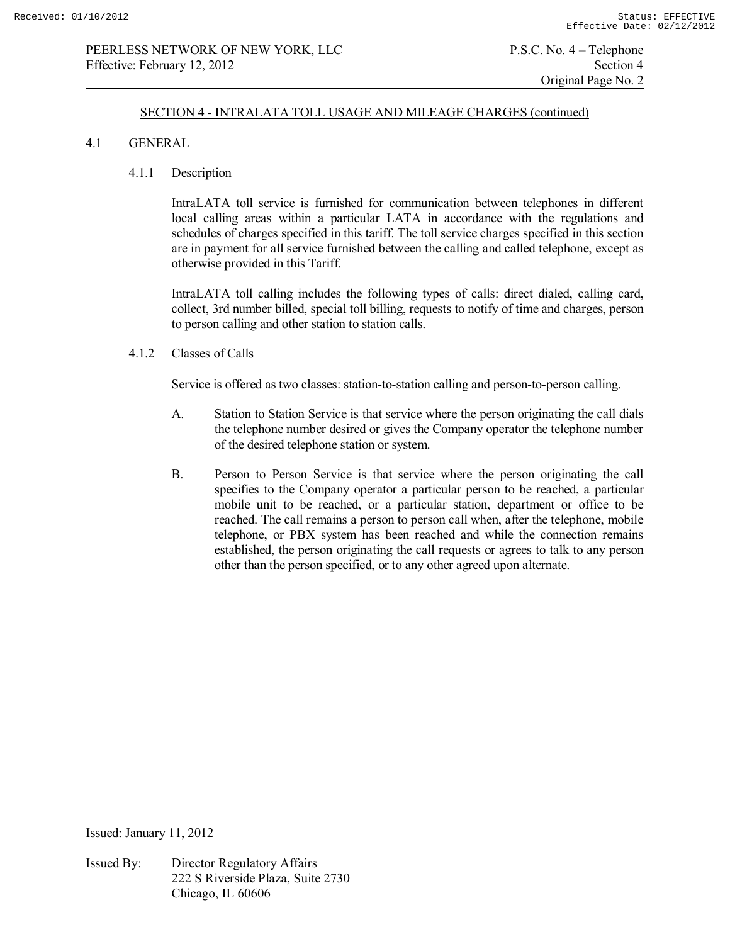## SECTION 4 - INTRALATA TOLL USAGE AND MILEAGE CHARGES (continued)

#### 4.1 GENERAL

4.1.1 Description

 IntraLATA toll service is furnished for communication between telephones in different local calling areas within a particular LATA in accordance with the regulations and schedules of charges specified in this tariff. The toll service charges specified in this section are in payment for all service furnished between the calling and called telephone, except as otherwise provided in this Tariff.

 IntraLATA toll calling includes the following types of calls: direct dialed, calling card, collect, 3rd number billed, special toll billing, requests to notify of time and charges, person to person calling and other station to station calls.

### 4.1.2 Classes of Calls

Service is offered as two classes: station-to-station calling and person-to-person calling.

- A. Station to Station Service is that service where the person originating the call dials the telephone number desired or gives the Company operator the telephone number of the desired telephone station or system.
- B. Person to Person Service is that service where the person originating the call specifies to the Company operator a particular person to be reached, a particular mobile unit to be reached, or a particular station, department or office to be reached. The call remains a person to person call when, after the telephone, mobile telephone, or PBX system has been reached and while the connection remains established, the person originating the call requests or agrees to talk to any person other than the person specified, or to any other agreed upon alternate.

Issued: January 11, 2012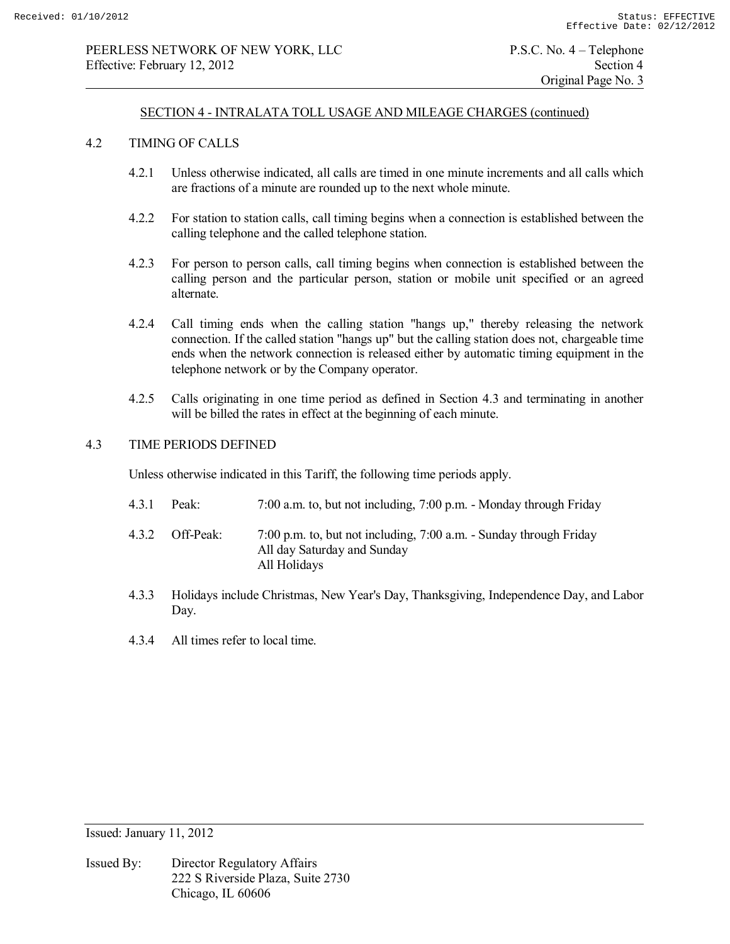## PEERLESS NETWORK OF NEW YORK, LLC P.S.C. No. 4 – Telephone Effective: February 12, 2012 Section 4

## SECTION 4 - INTRALATA TOLL USAGE AND MILEAGE CHARGES (continued)

## 4.2 TIMING OF CALLS

- 4.2.1 Unless otherwise indicated, all calls are timed in one minute increments and all calls which are fractions of a minute are rounded up to the next whole minute.
- 4.2.2 For station to station calls, call timing begins when a connection is established between the calling telephone and the called telephone station.
- 4.2.3 For person to person calls, call timing begins when connection is established between the calling person and the particular person, station or mobile unit specified or an agreed alternate.
- 4.2.4 Call timing ends when the calling station "hangs up," thereby releasing the network connection. If the called station "hangs up" but the calling station does not, chargeable time ends when the network connection is released either by automatic timing equipment in the telephone network or by the Company operator.
- 4.2.5 Calls originating in one time period as defined in Section 4.3 and terminating in another will be billed the rates in effect at the beginning of each minute.

#### 4.3 TIME PERIODS DEFINED

Unless otherwise indicated in this Tariff, the following time periods apply.

- 4.3.1 Peak: 7:00 a.m. to, but not including, 7:00 p.m. Monday through Friday
- 4.3.2 Off-Peak: 7:00 p.m. to, but not including, 7:00 a.m. Sunday through Friday All day Saturday and Sunday All Holidays
- 4.3.3 Holidays include Christmas, New Year's Day, Thanksgiving, Independence Day, and Labor Day.
- 4.3.4 All times refer to local time.

Issued: January 11, 2012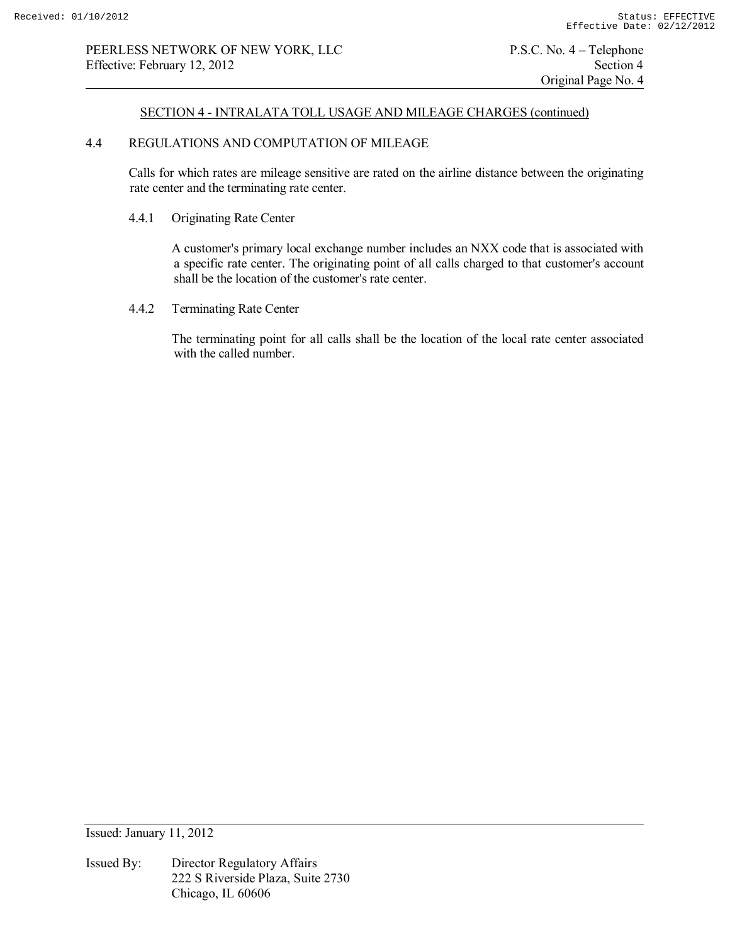### SECTION 4 - INTRALATA TOLL USAGE AND MILEAGE CHARGES (continued)

### 4.4 REGULATIONS AND COMPUTATION OF MILEAGE

 Calls for which rates are mileage sensitive are rated on the airline distance between the originating rate center and the terminating rate center.

#### 4.4.1 Originating Rate Center

 A customer's primary local exchange number includes an NXX code that is associated with a specific rate center. The originating point of all calls charged to that customer's account shall be the location of the customer's rate center.

4.4.2 Terminating Rate Center

 The terminating point for all calls shall be the location of the local rate center associated with the called number.

Issued: January 11, 2012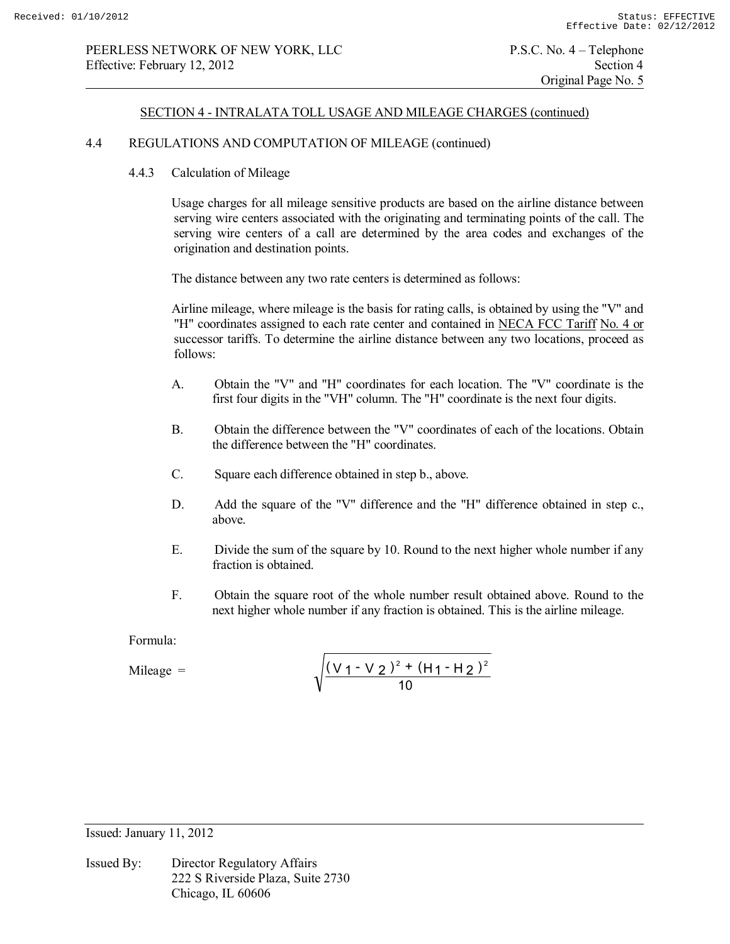#### SECTION 4 - INTRALATA TOLL USAGE AND MILEAGE CHARGES (continued)

## 4.4 REGULATIONS AND COMPUTATION OF MILEAGE (continued)

4.4.3 Calculation of Mileage

 Usage charges for all mileage sensitive products are based on the airline distance between serving wire centers associated with the originating and terminating points of the call. The serving wire centers of a call are determined by the area codes and exchanges of the origination and destination points.

The distance between any two rate centers is determined as follows:

 Airline mileage, where mileage is the basis for rating calls, is obtained by using the "V" and "H" coordinates assigned to each rate center and contained in NECA FCC Tariff No. 4 or successor tariffs. To determine the airline distance between any two locations, proceed as follows:

- A. Obtain the "V" and "H" coordinates for each location. The "V" coordinate is the first four digits in the "VH" column. The "H" coordinate is the next four digits.
- B. Obtain the difference between the "V" coordinates of each of the locations. Obtain the difference between the "H" coordinates.
- C. Square each difference obtained in step b., above.
- D. Add the square of the "V" difference and the "H" difference obtained in step c., above.
- E. Divide the sum of the square by 10. Round to the next higher whole number if any fraction is obtained.
- F. Obtain the square root of the whole number result obtained above. Round to the next higher whole number if any fraction is obtained. This is the airline mileage.

Formula:

Mileage  $=$ 

$$
\sqrt{\frac{(V_1 - V_2)^2 + (H_1 - H_2)^2}{10}}
$$

Issued: January 11, 2012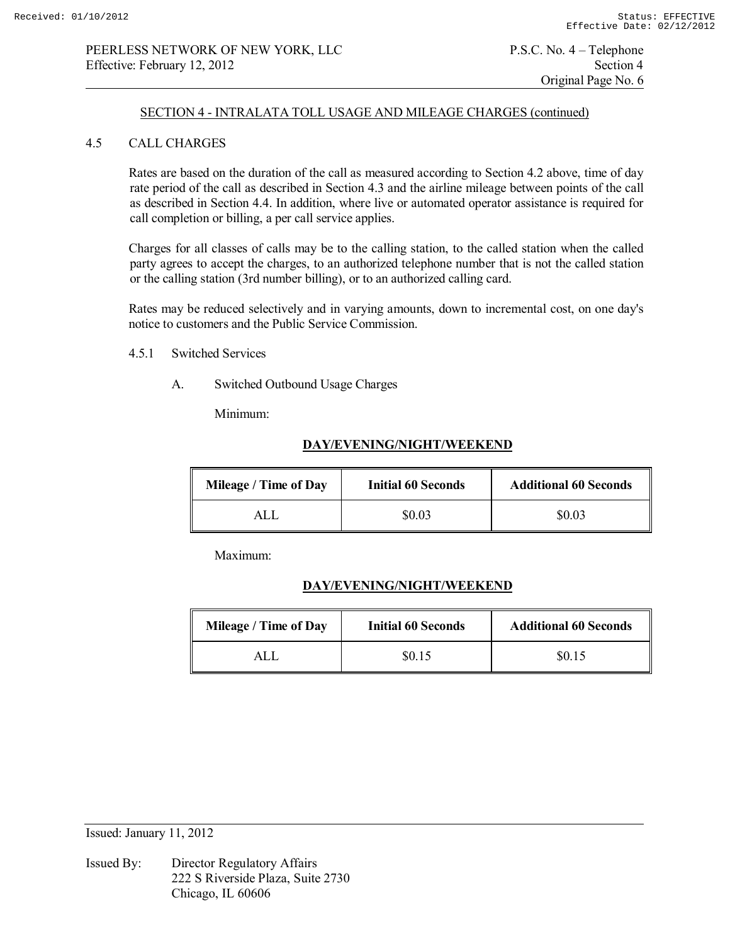## PEERLESS NETWORK OF NEW YORK, LLC P.S.C. No. 4 – Telephone Effective: February 12, 2012 Section 4

## SECTION 4 - INTRALATA TOLL USAGE AND MILEAGE CHARGES (continued)

## 4.5 CALL CHARGES

 Rates are based on the duration of the call as measured according to Section 4.2 above, time of day rate period of the call as described in Section 4.3 and the airline mileage between points of the call as described in Section 4.4. In addition, where live or automated operator assistance is required for call completion or billing, a per call service applies.

 Charges for all classes of calls may be to the calling station, to the called station when the called party agrees to accept the charges, to an authorized telephone number that is not the called station or the calling station (3rd number billing), or to an authorized calling card.

 Rates may be reduced selectively and in varying amounts, down to incremental cost, on one day's notice to customers and the Public Service Commission.

- 4.5.1 Switched Services
	- A. Switched Outbound Usage Charges

Minimum:

| Mileage / Time of Day | <b>Initial 60 Seconds</b> | <b>Additional 60 Seconds</b> |
|-----------------------|---------------------------|------------------------------|
|                       | \$0.03                    | \$0.03                       |

### **DAY/EVENING/NIGHT/WEEKEND**

Maximum:

## **DAY/EVENING/NIGHT/WEEKEND**

| Mileage / Time of Day | <b>Initial 60 Seconds</b> | <b>Additional 60 Seconds</b> |
|-----------------------|---------------------------|------------------------------|
|                       | SO.15                     | SO 15                        |

Issued: January 11, 2012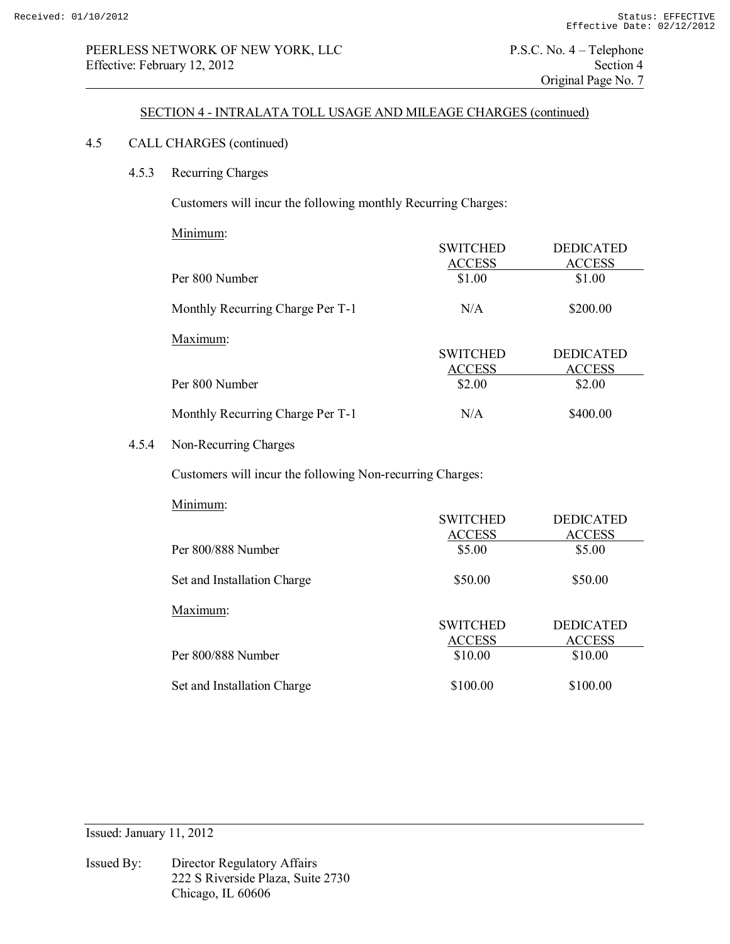## PEERLESS NETWORK OF NEW YORK, LLC<br>
Effective: February 12, 2012<br>
Section 4 Effective: February 12, 2012

SWITCHED DEDICATED

## SECTION 4 - INTRALATA TOLL USAGE AND MILEAGE CHARGES (continued)

## 4.5 CALL CHARGES (continued)

### 4.5.3 Recurring Charges

Customers will incur the following monthly Recurring Charges:

Minimum:

|                                  | <b>ACCESS</b>   | <b>ACCESS</b>    |
|----------------------------------|-----------------|------------------|
| Per 800 Number                   | \$1.00          | \$1.00           |
| Monthly Recurring Charge Per T-1 | N/A             | \$200.00         |
| Maximum:                         |                 |                  |
|                                  | <b>SWITCHED</b> | <b>DEDICATED</b> |
|                                  | <b>ACCESS</b>   | <b>ACCESS</b>    |
| Per 800 Number                   | \$2.00          | \$2.00           |
| Monthly Recurring Charge Per T-1 | N/A             | \$400.00         |

#### 4.5.4 Non-Recurring Charges

Customers will incur the following Non-recurring Charges:

Minimum:

|                             | <b>SWITCHED</b> | <b>DEDICATED</b> |
|-----------------------------|-----------------|------------------|
|                             | <b>ACCESS</b>   | <b>ACCESS</b>    |
| Per 800/888 Number          | \$5.00          | \$5.00           |
| Set and Installation Charge | \$50.00         | \$50.00          |
| Maximum:                    |                 |                  |
|                             | <b>SWITCHED</b> | <b>DEDICATED</b> |
|                             | <b>ACCESS</b>   | <b>ACCESS</b>    |
| Per 800/888 Number          | \$10.00         | \$10.00          |
| Set and Installation Charge | \$100.00        | \$100.00         |

Issued: January 11, 2012